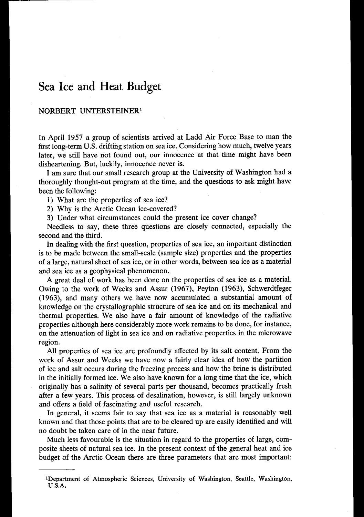## **Sea Ice and Heat Budget**

## NORBERT UNTERSTEINERl

In April **1957** a group of scientists arrived at Ladd Air Force Base to man the first long-term U.S. drifting station on sea ice. Considering how much, twelve years later, we still have not found out, our innocence at that time might have been disheartening. But, luckily, innocence never is.

I am sure that our small research group at the University of Washington had a thoroughly thought-out program at the time, and the questions to ask might have been the following:

**1)** What are the properties of sea ice?

2) Why is the Arctic Ocean ice-covered?

**3)** Under what circumstances could the present ice cover change?

Needless to say, these three questions are closely connected, especially the second and the third.

In dealing with the first question, properties of sea ice, an important distinction is to be made between the small-scale (sample size) properties and the properties of a large, natural sheet of sea ice, or in other words, between sea ice as a material and sea ice as a geophysical phenomenon.

A great deal of work has been done on the properties of sea ice as a material. Owing to the work of Weeks and Assur **(1967),** Peyton **(1963),** Schwerdtfeger **(1963),** and many others we have now accumulated a substantial amount of knowledge on the crystallographic structure of sea ice and on its mechanical and thermal properties. We also have a fair amount of knowledge of the radiative properties although here considerably more work remains to be done, for instance, on the attenuation of light in sea ice and on radiative properties in the microwave region.

All properties of sea ice are profoundly affected by its salt content. From the work of Assur and Weeks we have now a fairly clear idea of how the partition of ice and salt occurs during the freezing process and how the brine is distributed in the initially formed ice. We also have known for a long time that the ice, which originally has a salinity of several parts per thousand, becomes practically fresh after a few years. This process of desalination, however, is still largely unknown and offers a field of fascinating and useful research.

In general, it seems fair to say that sea ice as a material is reasonably well known and that those points that are to be cleared up are easily identified and will no doubt be taken care of in the near future.

Much less favourable is the situation in regard to the properties of large, composite sheets of natural sea ice. In the present context of the general heat and ice budget of the Arctic Ocean there are three parameters that are most important:

**<sup>1</sup>Department of Atmospheric Sciences, University of Washington, Seattle, Washington, U.S.A.**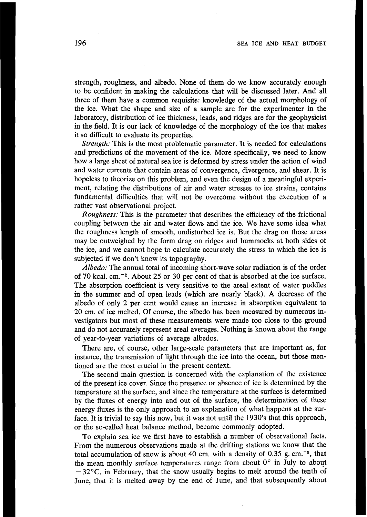strength, roughness, and albedo. None of them do we know accurately enough to be confident in making the calculations that will be discussed later. And all three of them have a common requisite: knowledge of the actual morphology of the ice. What the shape and size of a sample are for the experimenter in the laboratory, distribution of ice thickness, leads, and ridges are for the geophysicist in the field. It is our lack of knowledge of the morphology of the ice that makes it so difficult to evaluate its properties.

*Strength:* This is the most problematic parameter. It is needed for calculations and predictions of the movement of the ice. More specifically, we need to know how a large sheet of natural sea ice is deformed by stress under the action of wind and water currents that contain areas of convergence, divergence, and shear. It is hopeless to theorize on this problem, and even the design of a meaningful experiment, relating the distributions of air and water stresses to ice strains, contains fundamental difficulties that will not be overcome without the execution of a rather vast observational project.

*Roughness:* This is the parameter that describes the efficiency of the frictional coupling between the air and water flows and the ice. We have some idea what the roughness length of smooth, undisturbed ice is. But the drag on those areas may be outweighed by the form drag on ridges and hummocks at both sides of the ice, and we cannot hope to calculate accurately the stress to which the ice is subjected if we don't know its topography.

*Albedo:* The annual total of incoming short-wave solar radiation is of the order of **70** kcal. cm.-2. About *25* or **30** per cent of that is absorbed at the ice surface. The absorption coefficient is very sensitive to the areal extent of water puddles in the summer and of open leads (which are nearly black). A decrease of the albedo of only **2** per cent would cause an increase in absorption equivalent to **20** cm. of ice melted. Of course, the albedo has been measured by numerous investigators but most of these measurements were made too close to the ground and do not accurately represent areal averages. Nothing is known about the range of year-to-year variations of average albedos.

There are, of course, other large-scale parameters that are important as, for instance, the transmission of light through the ice into the ocean, but those mentioned are the most crucial in the present context.

The second main question is concerned with the explanation of the existence of the present ice cover. Since the presence or absence of ice is determined by the temperature at the surface, and since the temperature at the surface is determined by the fluxes of energy into and out of the surface, the determination of these energy fluxes is the only approach to an explanation of what happens at the surface. It is trivial to say this now, but it was not until the **1930's** that this approach, or the so-called heat balance method, became commonly adopted.

To explain sea ice we first have to establish a number of observational facts. From the numerous observations made at the drifting stations we know that the total accumulation of snow is about 40 cm. with a density of  $0.35$  g. cm.<sup>-3</sup>, that the mean monthly surface temperatures range from about *0'* in July to about  $-32^{\circ}$ C. in February, that the snow usually begins to melt around the tenth of June, that it is melted away by the end of June, and that subsequently about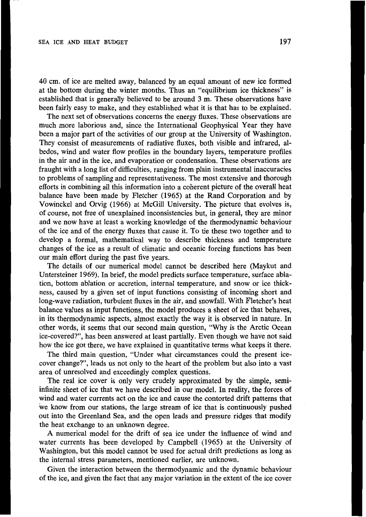40 cm. of ice are melted away, balanced by an equal amount of new ice formed at the bottom during the winter months. Thus an "equilibrium ice thickness" is established that is generally believed to be around **3** m. These observations have been fairly easy to make, and they established what it is that has to be explained.

The next set of observations concerns the energy fluxes. These observations are much more laborious and, since the International Geophysical Year they have been a major part of the activities of our group at the University of Washington. They consist of measurements of radiative fluxes, both visible and infrared, albedos, wind and water flow profiles in the boundary layers, temperature profiles in the air and in the ice, and evaporation or condensation. These observations are fraught with a long list of difficulties, ranging from plain instrumental inaccuracies to problems of sampling and representativeness. The most extensive and thorough efforts in combining all this information into a coherent picture of the overall heat balance have been made by Fletcher **(1965)** at the Rand Corporation and by Vowinckel and Orvig **(1966)** at McGill University. The picture that evolves is, of course, not free of unexplained inconsistencies but, in general, they are minor and we now have at least a working knowledge of the thermodynamic behaviour of the ice and of the energy fluxes that cause it. To tie these two together and to develop a formal, mathematical way to describe thickness and temperature changes of the ice as a result of climatic and oceanic forcing functions has been our main effort during the past five years.

The details of our numerical model cannot be described here (Maykut and Untersteiner **1969).** In brief, the model predicts surface temperature, surface ablation, bottom ablation or accretion, internal temperature, and snow or ice thickness, caused by a given set of input functions consisting of incoming short and long-wave radiation, turbulent fluxes in the air, and snowfall. With Fletcher's heat balance values as input functions, the model produces a sheet of ice that behaves, in its thermodynamic aspects, almost exactly the way it is observed in nature. In other words, it seems that our second main question, "Why is the Arctic Ocean ice-covered?", has been answered at least partially. Even though we have not said how the ice got there, we have explained in quantitative terms what keeps it there.

The third main question, "Under what circumstances could the present icecover change?", leads us not only to the heart of the problem but also into a vast area of unresolved and exceedingly complex questions.

The real ice cover is only very crudely approximated by the simple, semiinfinite sheet of ice that we have described in our model. In reality, the forces of wind and water currents act on the ice and cause the contorted drift patterns that we know from our stations, the large stream of ice that is continuously pushed out into the Greenland Sea, and the open leads and pressure ridges that modify the heat exchange to an unknown degree.

A numerical model for the drift of sea ice under the influence of wind and water currents has been developed by Campbell **(1965)** at the University of Washington, but this model cannot be used for actual drift predictions as long as the internal stress parameters, mentioned earlier, are unknown.

Given the interaction between the thermodynamic and the dynamic behaviour of the ice, and given the fact that any major variation in the extent of the ice cover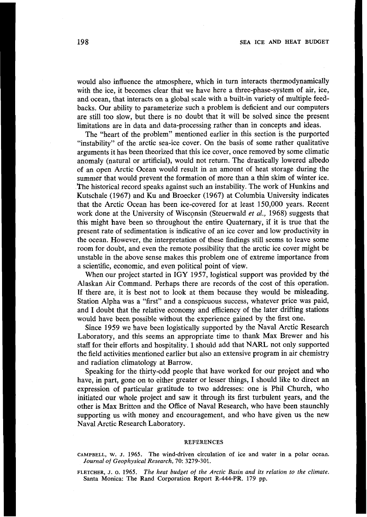would also influence the atmosphere, which in turn interacts thermodynamically with the ice, it becomes clear that we have here a three-phase-system of air, ice, and ocean, that interacts on a global scale with a built-in variety of multiple feedbacks. Our ability to parameterize such a problem is deficient and our computers are still too slow, but there is no doubt that it will be solved since the present limitations are in data and data-processing rather than in concepts and ideas.

The "heart of the problem" mentioned earlier in this section is the purported "instability" of the arctic sea-ice cover. On the basis of some rather qualitative arguments it has been theorized that this ice cover, once removed by some climatic anomaly (natural or artificial), would not return. The drastically lowered albedo of an open Arctic Ocean would result in an amount of heat storage during the summer that would prevent the formation of more than a thin skim of winter ice. The historical record speaks against such an instability. The work of Hunkins and Kutschale **(1967)** and **Ku** and Broecker **(1967)** at Columbia University indicate6 that the Arctic Ocean has been ice-covered for at least 150,000 years. Recent work done at the University of Wisconsin (Steuerwald *et al.,* 1968) suggests that this might have been so throughout the entire Quaternary, if it is true that the present rate of sedimentation is indicative of an ice cover and low productivity in the ocean. However, the interpretation of these findings still seems to leave some room for doubt, and even the remote possibility that the arctic ice cover might be unstable in the above sense makes this problem one of extreme importance from a scientific, economic, and even political point of view.

When our project started in **IGY 1957,** logistical support was provided by the Alaskan Air Command. Perhaps there are records of the cost of this operation. If there are, it is best not to look at them because they would be misleading. Station Alpha was a "first" and a conspicuous success, whatever price was paid, and **I** doubt that the relative economy and efficiency of the later drifting stations would have been possible without the experience gained by the first one.

Since **1959** we have been logistically supported by the Naval Arctic Research Laboratory, and this seems an appropriate time to thank Max Brewer and his staff for their efforts and hospitality. I should add that NARL not only supported the field activities mentioned earlier but also an extensive program in air chemistry and radiation climatology at Barrow.

Speaking for the thirty-odd people that have worked for our project and who have, in part, gone on to either greater or lesser things, **I** should like to direct an expression of particular gratitude to two addresses: one is Phil Church, who initiated our whole project and saw it through its first turbulent years, and the other is Max Britton and the Office of Naval Research, who have been staunchly supporting us with money and encouragement, and who have given us the new Naval Arctic Research Laboratory.

## **REFERENCES**

**CAMPBELL, w. J. 1965. The wind-driven circulation of ice and water in a polar ocean.**  *Journal of Geophysical Research,* **70: 3279-301.** 

**FLETCHER, J.** *0.* **1965.** *The heat budget* of *the Arctic Basin and its relation to the climate.*  **Santa Monica: The Rand Corporation Report R-444-PR. 179 pp.**